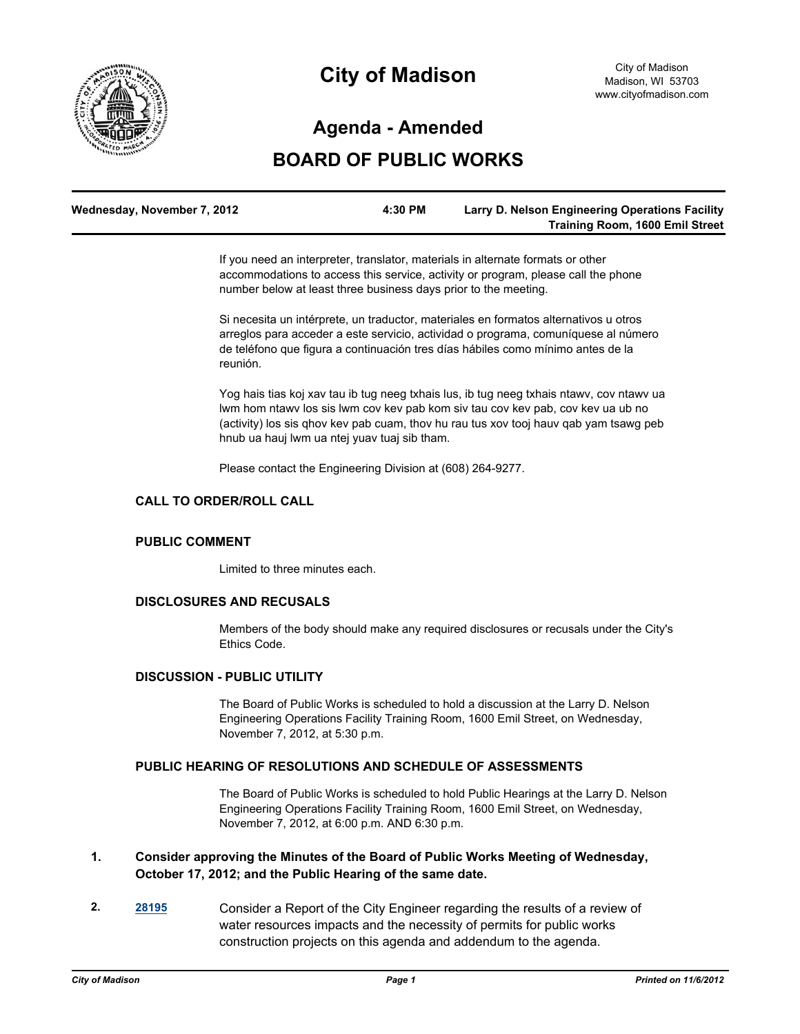

# **City of Madison**

# **Agenda - Amended**

# **BOARD OF PUBLIC WORKS**

| Wednesday, November 7, 2012 | 4:30 PM | <b>Larry D. Nelson Engineering Operations Facility</b> |
|-----------------------------|---------|--------------------------------------------------------|
|                             |         | <b>Training Room, 1600 Emil Street</b>                 |

If you need an interpreter, translator, materials in alternate formats or other accommodations to access this service, activity or program, please call the phone number below at least three business days prior to the meeting.

Si necesita un intérprete, un traductor, materiales en formatos alternativos u otros arreglos para acceder a este servicio, actividad o programa, comuníquese al número de teléfono que figura a continuación tres días hábiles como mínimo antes de la reunión.

Yog hais tias koj xav tau ib tug neeg txhais lus, ib tug neeg txhais ntawv, cov ntawv ua lwm hom ntawv los sis lwm cov kev pab kom siv tau cov kev pab, cov kev ua ub no (activity) los sis qhov kev pab cuam, thov hu rau tus xov tooj hauv qab yam tsawg peb hnub ua hauj lwm ua ntej yuav tuaj sib tham.

Please contact the Engineering Division at (608) 264-9277.

### **CALL TO ORDER/ROLL CALL**

#### **PUBLIC COMMENT**

Limited to three minutes each.

#### **DISCLOSURES AND RECUSALS**

Members of the body should make any required disclosures or recusals under the City's Ethics Code.

### **DISCUSSION - PUBLIC UTILITY**

The Board of Public Works is scheduled to hold a discussion at the Larry D. Nelson Engineering Operations Facility Training Room, 1600 Emil Street, on Wednesday, November 7, 2012, at 5:30 p.m.

#### **PUBLIC HEARING OF RESOLUTIONS AND SCHEDULE OF ASSESSMENTS**

The Board of Public Works is scheduled to hold Public Hearings at the Larry D. Nelson Engineering Operations Facility Training Room, 1600 Emil Street, on Wednesday, November 7, 2012, at 6:00 p.m. AND 6:30 p.m.

# **1. Consider approving the Minutes of the Board of Public Works Meeting of Wednesday, October 17, 2012; and the Public Hearing of the same date.**

**2. [28195](http://madison.legistar.com/gateway.aspx?m=l&id=/matter.aspx?key=30945)** Consider a Report of the City Engineer regarding the results of a review of water resources impacts and the necessity of permits for public works construction projects on this agenda and addendum to the agenda.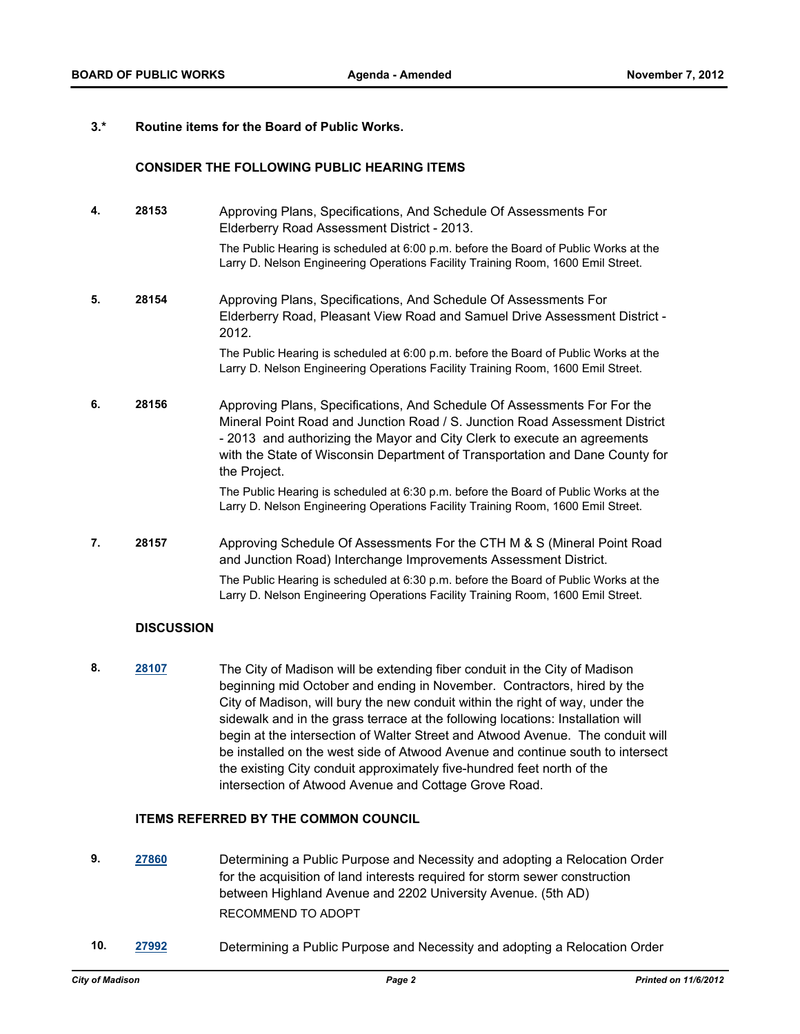# **3.\* Routine items for the Board of Public Works.**

# **CONSIDER THE FOLLOWING PUBLIC HEARING ITEMS**

| 4. | 28153 | Approving Plans, Specifications, And Schedule Of Assessments For<br>Elderberry Road Assessment District - 2013.                                                                                                                                                                                                                     |
|----|-------|-------------------------------------------------------------------------------------------------------------------------------------------------------------------------------------------------------------------------------------------------------------------------------------------------------------------------------------|
|    |       | The Public Hearing is scheduled at 6:00 p.m. before the Board of Public Works at the<br>Larry D. Nelson Engineering Operations Facility Training Room, 1600 Emil Street.                                                                                                                                                            |
| 5. | 28154 | Approving Plans, Specifications, And Schedule Of Assessments For<br>Elderberry Road, Pleasant View Road and Samuel Drive Assessment District -<br>2012.                                                                                                                                                                             |
|    |       | The Public Hearing is scheduled at 6:00 p.m. before the Board of Public Works at the<br>Larry D. Nelson Engineering Operations Facility Training Room, 1600 Emil Street.                                                                                                                                                            |
| 6. | 28156 | Approving Plans, Specifications, And Schedule Of Assessments For For the<br>Mineral Point Road and Junction Road / S. Junction Road Assessment District<br>- 2013 and authorizing the Mayor and City Clerk to execute an agreements<br>with the State of Wisconsin Department of Transportation and Dane County for<br>the Project. |
|    |       | The Public Hearing is scheduled at 6:30 p.m. before the Board of Public Works at the<br>Larry D. Nelson Engineering Operations Facility Training Room, 1600 Emil Street.                                                                                                                                                            |
| 7. | 28157 | Approving Schedule Of Assessments For the CTH M & S (Mineral Point Road<br>and Junction Road) Interchange Improvements Assessment District.<br>The Public Hearing is scheduled at 6:30 p.m. before the Board of Public Works at the<br>Larry D. Nelson Engineering Operations Facility Training Room, 1600 Emil Street.             |

#### **DISCUSSION**

**8. [28107](http://madison.legistar.com/gateway.aspx?m=l&id=/matter.aspx?key=30844)** The City of Madison will be extending fiber conduit in the City of Madison beginning mid October and ending in November. Contractors, hired by the City of Madison, will bury the new conduit within the right of way, under the sidewalk and in the grass terrace at the following locations: Installation will begin at the intersection of Walter Street and Atwood Avenue. The conduit will be installed on the west side of Atwood Avenue and continue south to intersect the existing City conduit approximately five-hundred feet north of the intersection of Atwood Avenue and Cottage Grove Road.

# **ITEMS REFERRED BY THE COMMON COUNCIL**

- **9. [27860](http://madison.legistar.com/gateway.aspx?m=l&id=/matter.aspx?key=30575)** Determining a Public Purpose and Necessity and adopting a Relocation Order for the acquisition of land interests required for storm sewer construction between Highland Avenue and 2202 University Avenue. (5th AD) RECOMMEND TO ADOPT
- **10. [27992](http://madison.legistar.com/gateway.aspx?m=l&id=/matter.aspx?key=30721)** Determining a Public Purpose and Necessity and adopting a Relocation Order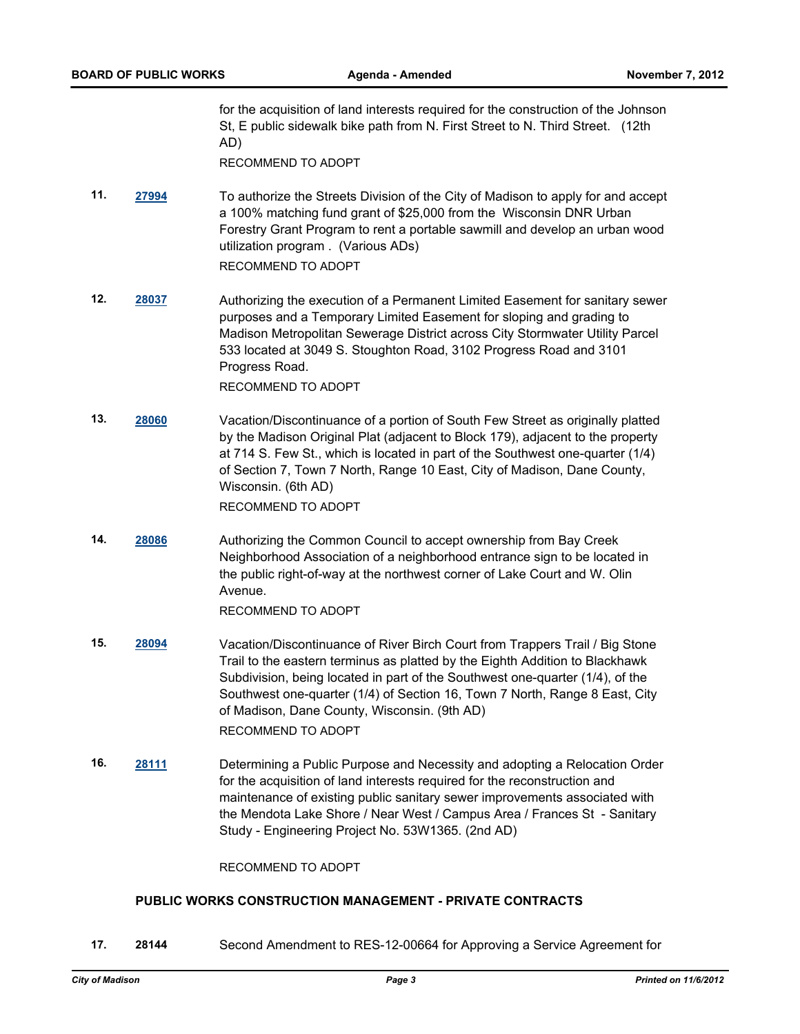for the acquisition of land interests required for the construction of the Johnson St, E public sidewalk bike path from N. First Street to N. Third Street. (12th AD)

RECOMMEND TO ADOPT

**11. [27994](http://madison.legistar.com/gateway.aspx?m=l&id=/matter.aspx?key=30722)** To authorize the Streets Division of the City of Madison to apply for and accept a 100% matching fund grant of \$25,000 from the Wisconsin DNR Urban Forestry Grant Program to rent a portable sawmill and develop an urban wood utilization program . (Various ADs)

RECOMMEND TO ADOPT

**12. [28037](http://madison.legistar.com/gateway.aspx?m=l&id=/matter.aspx?key=30770)** Authorizing the execution of a Permanent Limited Easement for sanitary sewer purposes and a Temporary Limited Easement for sloping and grading to Madison Metropolitan Sewerage District across City Stormwater Utility Parcel 533 located at 3049 S. Stoughton Road, 3102 Progress Road and 3101 Progress Road.

RECOMMEND TO ADOPT

- **13. [28060](http://madison.legistar.com/gateway.aspx?m=l&id=/matter.aspx?key=30794)** Vacation/Discontinuance of a portion of South Few Street as originally platted by the Madison Original Plat (adjacent to Block 179), adjacent to the property at 714 S. Few St., which is located in part of the Southwest one-quarter (1/4) of Section 7, Town 7 North, Range 10 East, City of Madison, Dane County, Wisconsin. (6th AD) RECOMMEND TO ADOPT
- **14. [28086](http://madison.legistar.com/gateway.aspx?m=l&id=/matter.aspx?key=30821)** Authorizing the Common Council to accept ownership from Bay Creek Neighborhood Association of a neighborhood entrance sign to be located in the public right-of-way at the northwest corner of Lake Court and W. Olin Avenue.

RECOMMEND TO ADOPT

- **15. [28094](http://madison.legistar.com/gateway.aspx?m=l&id=/matter.aspx?key=30830)** Vacation/Discontinuance of River Birch Court from Trappers Trail / Big Stone Trail to the eastern terminus as platted by the Eighth Addition to Blackhawk Subdivision, being located in part of the Southwest one-quarter (1/4), of the Southwest one-quarter (1/4) of Section 16, Town 7 North, Range 8 East, City of Madison, Dane County, Wisconsin. (9th AD) RECOMMEND TO ADOPT
- **16. [28111](http://madison.legistar.com/gateway.aspx?m=l&id=/matter.aspx?key=30848)** Determining a Public Purpose and Necessity and adopting a Relocation Order for the acquisition of land interests required for the reconstruction and maintenance of existing public sanitary sewer improvements associated with the Mendota Lake Shore / Near West / Campus Area / Frances St - Sanitary Study - Engineering Project No. 53W1365. (2nd AD)

RECOMMEND TO ADOPT

# **PUBLIC WORKS CONSTRUCTION MANAGEMENT - PRIVATE CONTRACTS**

**17. 28144** Second Amendment to RES-12-00664 for Approving a Service Agreement for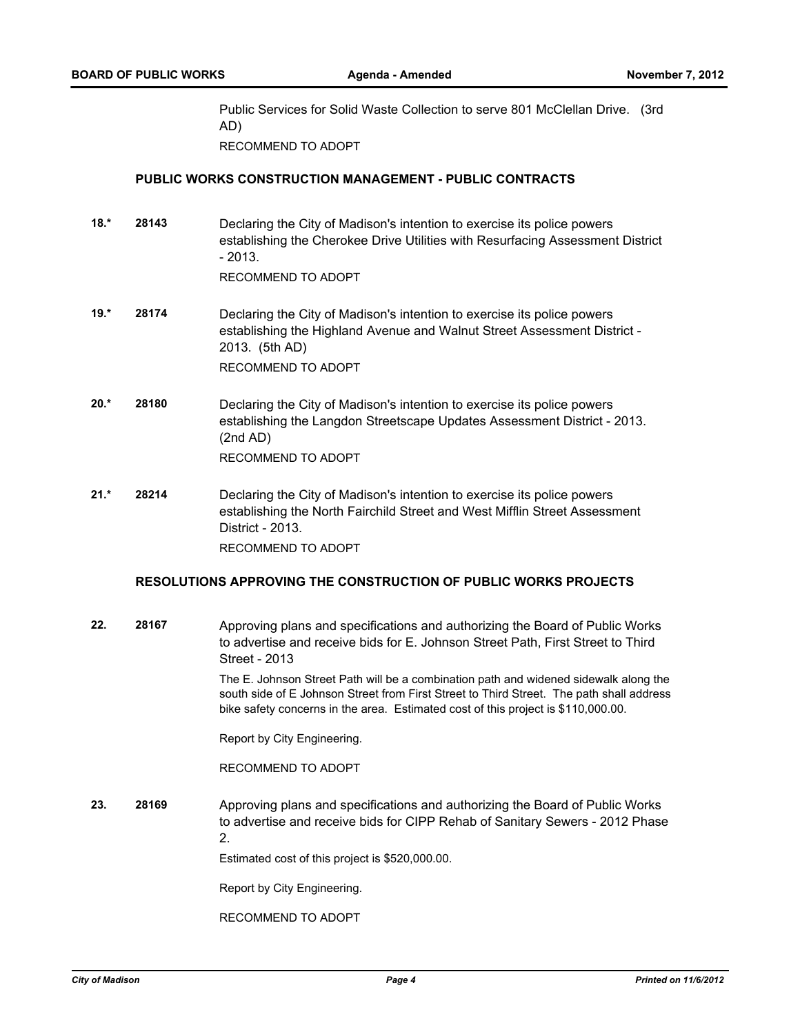Public Services for Solid Waste Collection to serve 801 McClellan Drive. (3rd AD) RECOMMEND TO ADOPT

# **PUBLIC WORKS CONSTRUCTION MANAGEMENT - PUBLIC CONTRACTS**

**18.\* 28143** Declaring the City of Madison's intention to exercise its police powers establishing the Cherokee Drive Utilities with Resurfacing Assessment District  $-2013.$ 

RECOMMEND TO ADOPT

- **19.\* 28174** Declaring the City of Madison's intention to exercise its police powers establishing the Highland Avenue and Walnut Street Assessment District - 2013. (5th AD) RECOMMEND TO ADOPT
- **20.\* 28180** Declaring the City of Madison's intention to exercise its police powers establishing the Langdon Streetscape Updates Assessment District - 2013. (2nd AD) RECOMMEND TO ADOPT
- **21.\* 28214** Declaring the City of Madison's intention to exercise its police powers establishing the North Fairchild Street and West Mifflin Street Assessment District - 2013. RECOMMEND TO ADOPT

# **RESOLUTIONS APPROVING THE CONSTRUCTION OF PUBLIC WORKS PROJECTS**

**22. 28167** Approving plans and specifications and authorizing the Board of Public Works to advertise and receive bids for E. Johnson Street Path, First Street to Third Street - 2013

> The E. Johnson Street Path will be a combination path and widened sidewalk along the south side of E Johnson Street from First Street to Third Street. The path shall address bike safety concerns in the area. Estimated cost of this project is \$110,000.00.

Report by City Engineering.

RECOMMEND TO ADOPT

**23. 28169** Approving plans and specifications and authorizing the Board of Public Works to advertise and receive bids for CIPP Rehab of Sanitary Sewers - 2012 Phase 2.

Estimated cost of this project is \$520,000.00.

Report by City Engineering.

RECOMMEND TO ADOPT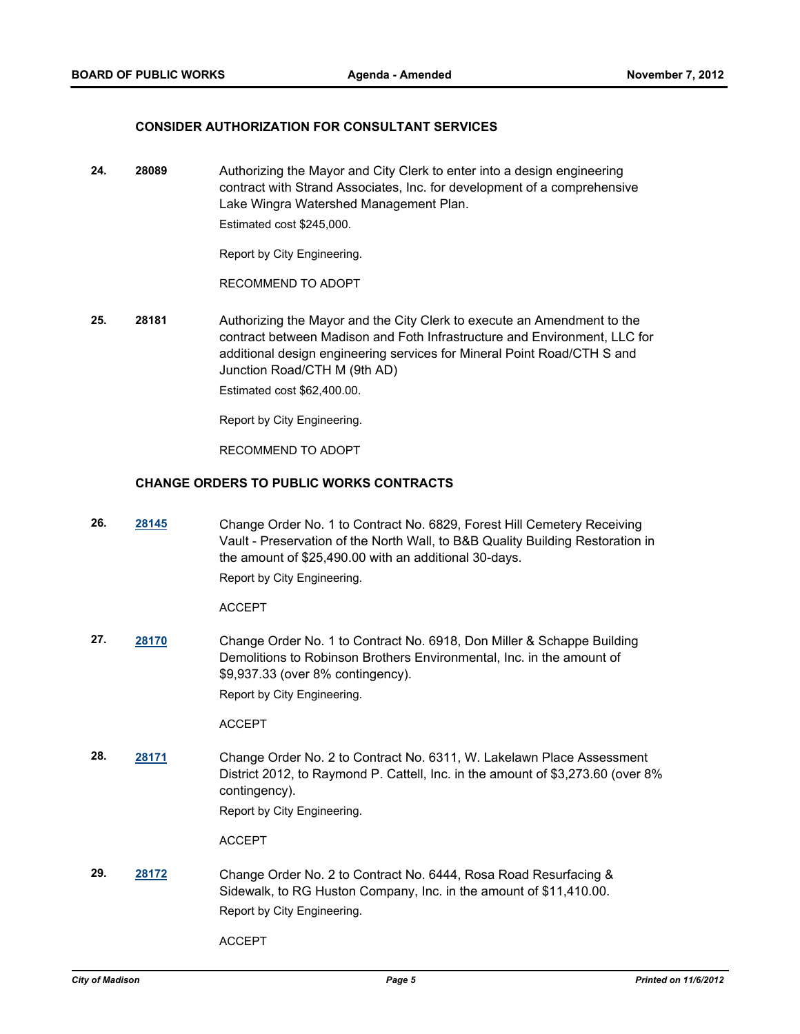#### **CONSIDER AUTHORIZATION FOR CONSULTANT SERVICES**

**24. 28089** Authorizing the Mayor and City Clerk to enter into a design engineering contract with Strand Associates, Inc. for development of a comprehensive Lake Wingra Watershed Management Plan. Estimated cost \$245,000.

Report by City Engineering.

RECOMMEND TO ADOPT

**25. 28181** Authorizing the Mayor and the City Clerk to execute an Amendment to the contract between Madison and Foth Infrastructure and Environment, LLC for additional design engineering services for Mineral Point Road/CTH S and Junction Road/CTH M (9th AD) Estimated cost \$62,400.00.

Report by City Engineering.

RECOMMEND TO ADOPT

#### **CHANGE ORDERS TO PUBLIC WORKS CONTRACTS**

**26. [28145](http://madison.legistar.com/gateway.aspx?m=l&id=/matter.aspx?key=30891)** Change Order No. 1 to Contract No. 6829, Forest Hill Cemetery Receiving Vault - Preservation of the North Wall, to B&B Quality Building Restoration in the amount of \$25,490.00 with an additional 30-days. Report by City Engineering.

ACCEPT

**27. [28170](http://madison.legistar.com/gateway.aspx?m=l&id=/matter.aspx?key=30918)** Change Order No. 1 to Contract No. 6918, Don Miller & Schappe Building Demolitions to Robinson Brothers Environmental, Inc. in the amount of \$9,937.33 (over 8% contingency).

Report by City Engineering.

ACCEPT

**28. [28171](http://madison.legistar.com/gateway.aspx?m=l&id=/matter.aspx?key=30919)** Change Order No. 2 to Contract No. 6311, W. Lakelawn Place Assessment District 2012, to Raymond P. Cattell, Inc. in the amount of \$3,273.60 (over 8% contingency).

Report by City Engineering.

ACCEPT

**29. [28172](http://madison.legistar.com/gateway.aspx?m=l&id=/matter.aspx?key=30920)** Change Order No. 2 to Contract No. 6444, Rosa Road Resurfacing & Sidewalk, to RG Huston Company, Inc. in the amount of \$11,410.00. Report by City Engineering.

ACCEPT